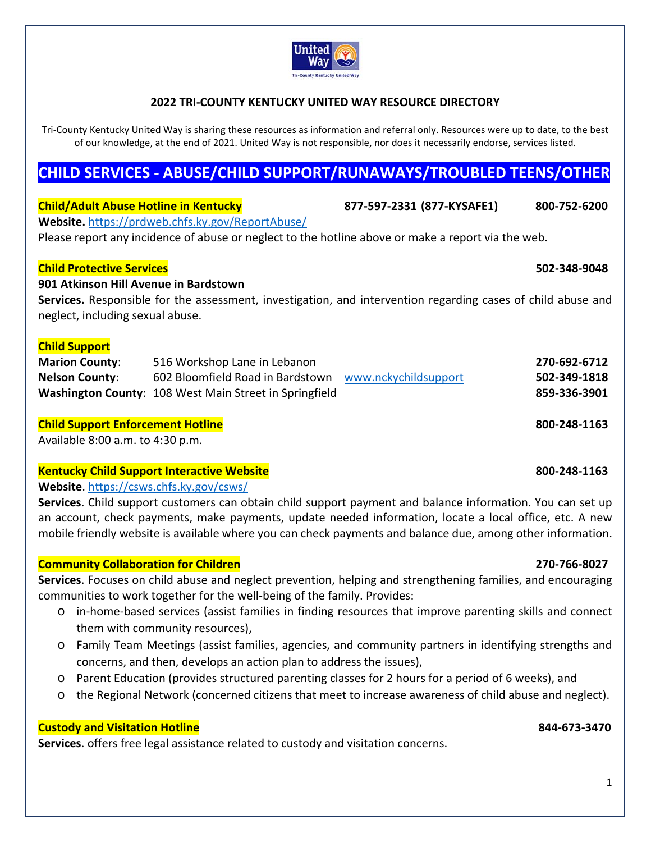

### **2022 TRI‐COUNTY KENTUCKY UNITED WAY RESOURCE DIRECTORY**

Tri-County Kentucky United Way is sharing these resources as information and referral only. Resources were up to date, to the best of our knowledge, at the end of 2021. United Way is not responsible, nor does it necessarily endorse, services listed.

# **CHILD SERVICES ‐ ABUSE/CHILD SUPPORT/RUNAWAYS/TROUBLED TEENS/OTHER**

| <b>Child/Adult Abuse Hotline in Kentucky</b>                                                                                                                             | Website.https://prdweb.chfs.ky.gov/ReportAbuse/<br>Please report any incidence of abuse or neglect to the hotline above or make a report via the web. | 877-597-2331 (877-KYSAFE1) | 800-752-6200 |
|--------------------------------------------------------------------------------------------------------------------------------------------------------------------------|-------------------------------------------------------------------------------------------------------------------------------------------------------|----------------------------|--------------|
| <b>Child Protective Services</b><br>901 Atkinson Hill Avenue in Bardstown                                                                                                |                                                                                                                                                       |                            | 502-348-9048 |
| Services. Responsible for the assessment, investigation, and intervention regarding cases of child abuse and<br>neglect, including sexual abuse.<br><b>Child Support</b> |                                                                                                                                                       |                            |              |
| <b>Marion County:</b>                                                                                                                                                    | 516 Workshop Lane in Lebanon                                                                                                                          |                            | 270-692-6712 |
| <b>Nelson County:</b>                                                                                                                                                    | 602 Bloomfield Road in Bardstown                                                                                                                      | www.nckychildsupport       | 502-349-1818 |
|                                                                                                                                                                          | Washington County: 108 West Main Street in Springfield                                                                                                |                            | 859-336-3901 |
| <b>Child Support Enforcement Hotline</b>                                                                                                                                 |                                                                                                                                                       |                            | 800-248-1163 |
| Available 8:00 a.m. to 4:30 p.m.                                                                                                                                         |                                                                                                                                                       |                            |              |

### **Kentucky Child Support Interactive Website 800‐248‐1163**

**Website**. https://csws.chfs.ky.gov/csws/

**Services**. Child support customers can obtain child support payment and balance information. You can set up an account, check payments, make payments, update needed information, locate a local office, etc. A new mobile friendly website is available where you can check payments and balance due, among other information.

### **Community Collaboration for Children 270‐766‐8027**

**Services**. Focuses on child abuse and neglect prevention, helping and strengthening families, and encouraging communities to work together for the well‐being of the family. Provides:

- o in‐home‐based services (assist families in finding resources that improve parenting skills and connect them with community resources),
- o Family Team Meetings (assist families, agencies, and community partners in identifying strengths and concerns, and then, develops an action plan to address the issues),
- o Parent Education (provides structured parenting classes for 2 hours for a period of 6 weeks), and
- o the Regional Network (concerned citizens that meet to increase awareness of child abuse and neglect).

### **Custody and Visitation Hotline 844‐673‐3470**

**Services**. offers free legal assistance related to custody and visitation concerns.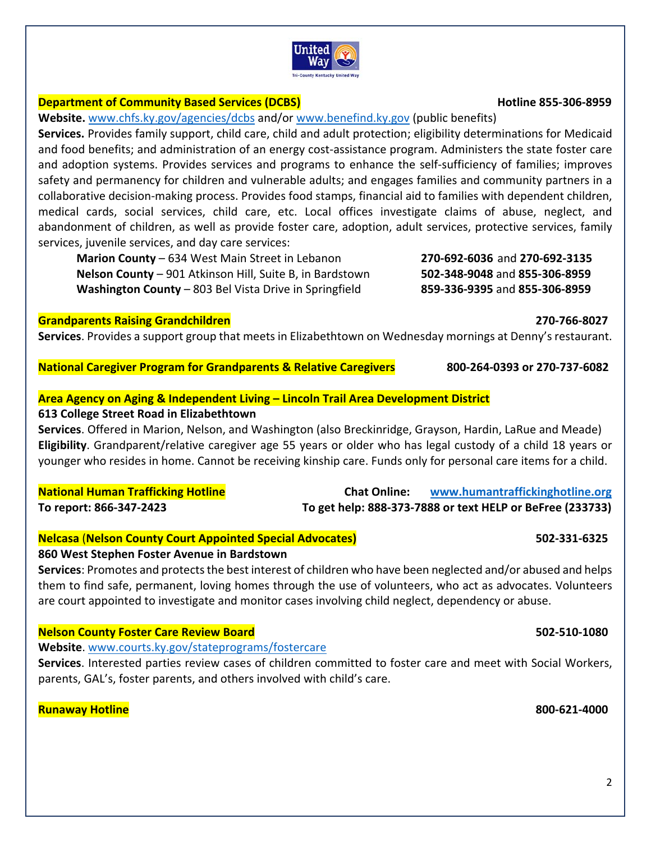# **Department of Community Based Services (DCBS) Hotline 855‐306‐8959**

**Website.** www.chfs.ky.gov/agencies/dcbs and/or www.benefind.ky.gov (public benefits)

**Services.** Provides family support, child care, child and adult protection; eligibility determinations for Medicaid and food benefits; and administration of an energy cost-assistance program. Administers the state foster care and adoption systems. Provides services and programs to enhance the self‐sufficiency of families; improves safety and permanency for children and vulnerable adults; and engages families and community partners in a collaborative decision‐making process. Provides food stamps, financial aid to families with dependent children, medical cards, social services, child care, etc. Local offices investigate claims of abuse, neglect, and abandonment of children, as well as provide foster care, adoption, adult services, protective services, family services, juvenile services, and day care services:

**Marion County** – 634 West Main Street in Lebanon **270‐692‐6036** and **270‐692‐3135 Nelson County** – 901 Atkinson Hill, Suite B, in Bardstown **502‐348‐9048** and **855‐306‐8959 Washington County** – 803 Bel Vista Drive in Springfield **859‐336‐9395** and **855‐306‐8959**

## **Grandparents Raising Grandchildren 270‐766‐8027**

**Services**. Provides a support group that meets in Elizabethtown on Wednesday mornings at Denny's restaurant.

**National Caregiver Program for Grandparents & Relative Caregivers 800‐264‐0393 or 270‐737‐6082**

## **Area Agency on Aging & Independent Living – Lincoln Trail Area Development District**

## **613 College Street Road in Elizabethtown**

**Services**. Offered in Marion, Nelson, and Washington (also Breckinridge, Grayson, Hardin, LaRue and Meade) **Eligibility**. Grandparent/relative caregiver age 55 years or older who has legal custody of a child 18 years or younger who resides in home. Cannot be receiving kinship care. Funds only for personal care items for a child.

**National Human Trafficking Hotline Chat Online: www.humantraffickinghotline.org To report: 866‐347‐2423 To get help: 888‐373‐7888 or text HELP or BeFree (233733)** 

**Nelcasa** (**Nelson County Court Appointed Special Advocates) 502‐331‐6325**

## **860 West Stephen Foster Avenue in Bardstown**

**Services**: Promotes and protects the best interest of children who have been neglected and/or abused and helps them to find safe, permanent, loving homes through the use of volunteers, who act as advocates. Volunteers are court appointed to investigate and monitor cases involving child neglect, dependency or abuse.

## **Nelson County Foster Care Review Board 502‐510‐1080**

**Website**. www.courts.ky.gov/stateprograms/fostercare

**Services**. Interested parties review cases of children committed to foster care and meet with Social Workers, parents, GAL's, foster parents, and others involved with child's care.

## **Runaway Hotline 800‐621‐4000**

United wav **Tri-County Kentucky United Way**